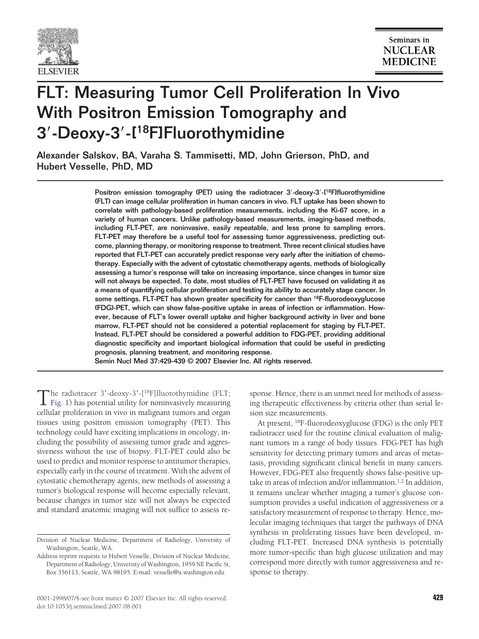

# FLT: Measuring Tumor Cell Proliferation In Vivo With Positron Emission Tomography and 3'-Deoxy-3'-[<sup>18</sup>F]Fluorothymidine

Alexander Salskov, BA, Varaha S. Tammisetti, MD, John Grierson, PhD, and Hubert Vesselle, PhD, MD

> Positron emission tomography (PET) using the radiotracer 3'-deoxy-3'-[<sup>18</sup>F]fluorothymidine (FLT) can image cellular proliferation in human cancers in vivo. FLT uptake has been shown to correlate with pathology-based proliferation measurements, including the Ki-67 score, in a variety of human cancers. Unlike pathology-based measurements, imaging-based methods, including FLT-PET, are noninvasive, easily repeatable, and less prone to sampling errors. FLT-PET may therefore be a useful tool for assessing tumor aggressiveness, predicting outcome, planning therapy, or monitoring response to treatment. Three recent clinical studies have reported that FLT-PET can accurately predict response very early after the initiation of chemotherapy. Especially with the advent of cytostatic chemotherapy agents, methods of biologically assessing a tumor's response will take on increasing importance, since changes in tumor size will not always be expected. To date, most studies of FLT-PET have focused on validating it as a means of quantifying cellular proliferation and testing its ability to accurately stage cancer. In some settings, FLT-PET has shown greater specificity for cancer than <sup>18</sup>F-fluorodeoxyglucose (FDG)-PET, which can show false-positive uptake in areas of infection or inflammation. However, because of FLT's lower overall uptake and higher background activity in liver and bone marrow, FLT-PET should not be considered a potential replacement for staging by FLT-PET. Instead, FLT-PET should be considered a powerful addition to FDG-PET, providing additional diagnostic specificity and important biological information that could be useful in predicting prognosis, planning treatment, and monitoring response.

Semin Nucl Med 37:429-439 © 2007 Elsevier Inc. All rights reserved.

[The](#page-1-0) [rad](#page-1-0)iotracer  $3'-decay-3'-[18F]$  fluorothymidine (FLT;<br>Fig. 1) has potential utility for noninvasively measuring<br>colliden multiparties in give in multipart time on and agreement cellular proliferation in vivo in malignant tumors and organ tissues using positron emission tomography (PET). This technology could have exciting implications in oncology, including the possibility of assessing tumor grade and aggressiveness without the use of biopsy. FLT-PET could also be used to predict and monitor response to antitumor therapies, especially early in the course of treatment. With the advent of cytostatic chemotherapy agents, new methods of assessing a tumor's biological response will become especially relevant, because changes in tumor size will not always be expected and standard anatomic imaging will not suffice to assess response. Hence, there is an unmet need for methods of assessing therapeutic effectiveness by criteria other than serial lesion size measurements.

At present, 18F-fluorodeoxyglucose (FDG) is the only PET radiotracer used for the routine clinical evaluation of malignant tumors in a range of body tissues. FDG-PET has high sensitivity for detecting primary tumors and areas of metastasis, providing significant clinical benefit in many cancers. However, FDG-PET also frequently shows false-positive uptake in areas of infection and/or inflammation.<sup>1,2</sup> In addition, it remains unclear whether imaging a tumor's glucose consumption provides a useful indication of aggressiveness or a satisfactory measurement of response to therapy. Hence, molecular imaging techniques that target the pathways of DNA synthesis in proliferating tissues have been developed, including FLT-PET. Increased DNA synthesis is potentially more tumor-specific than high glucose utilization and may correspond more directly with tumor aggressiveness and response to therapy.

Division of Nuclear Medicine, Department of Radiology, University of Washington, Seattle, WA.

Address reprint requests to Hubert Vesselle, Division of Nuclear Medicine, Department of Radiology, University of Washington, 1959 NE Pacific St, Box 356113, Seattle, WA 98195. E-mail: vesselle@u.washington.edu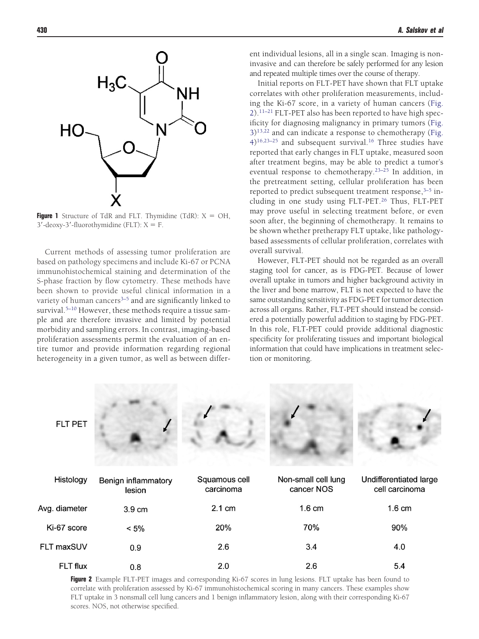<span id="page-1-0"></span>

**Figure 1** Structure of TdR and FLT. Thymidine  $(TdR): X = OH$ ,  $3'$ -deoxy-3'-fluorothymidine (FLT):  $X = F$ .

Current methods of assessing tumor proliferation are based on pathology specimens and include Ki-67 or PCNA immunohistochemical staining and determination of the S-phase fraction by flow cytometry. These methods have been shown to provide useful clinical information in a variety of human cancers<sup>3-5</sup> and are significantly linked to survival.<sup>5-10</sup> However, these methods require a tissue sample and are therefore invasive and limited by potential morbidity and sampling errors. In contrast, imaging-based proliferation assessments permit the evaluation of an entire tumor and provide information regarding regional heterogeneity in a given tumor, as well as between different individual lesions, all in a single scan. Imaging is noninvasive and can therefore be safely performed for any lesion and repeated multiple times over the course of therapy.

Initial reports on FLT-PET have shown that FLT uptake correlates with other proliferation measurements, including the Ki-67 score, in a variety of human cancers (Fig. 2)[.11–21](#page-8-0) FLT-PET also has been reported to have high specificity for diagnosing malignancy in primary tumors [\(Fig.](#page-2-0) [3\)](#page-2-0)[13,22](#page-8-0) and can indicate a response to chemotherapy [\(Fig.](#page-3-0)  $4$ )<sup>16,23-25</sup> and subsequent survival.<sup>16</sup> Three studies have reported that early changes in FLT uptake, measured soon after treatment begins, may be able to predict a tumor's eventual response to chemotherapy[.23–25](#page-9-0) In addition, in the pretreatment setting, cellular proliferation has been reported to predict subsequent treatment response,<sup>3-5</sup> including in one study using FLT-PET.<sup>26</sup> Thus, FLT-PET may prove useful in selecting treatment before, or even soon after, the beginning of chemotherapy. It remains to be shown whether pretherapy FLT uptake, like pathologybased assessments of cellular proliferation, correlates with overall survival.

However, FLT-PET should not be regarded as an overall staging tool for cancer, as is FDG-PET. Because of lower overall uptake in tumors and higher background activity in the liver and bone marrow, FLT is not expected to have the same outstanding sensitivity as FDG-PET for tumor detection across all organs. Rather, FLT-PET should instead be considered a potentially powerful addition to staging by FDG-PET. In this role, FLT-PET could provide additional diagnostic specificity for proliferating tissues and important biological information that could have implications in treatment selection or monitoring.



**Figure 2** Example FLT-PET images and corresponding Ki-67 scores in lung lesions. FLT uptake has been found to correlate with proliferation assessed by Ki-67 immunohistochemical scoring in many cancers. These examples show FLT uptake in 3 nonsmall cell lung cancers and 1 benign inflammatory lesion, along with their corresponding Ki-67 scores. NOS, not otherwise specified.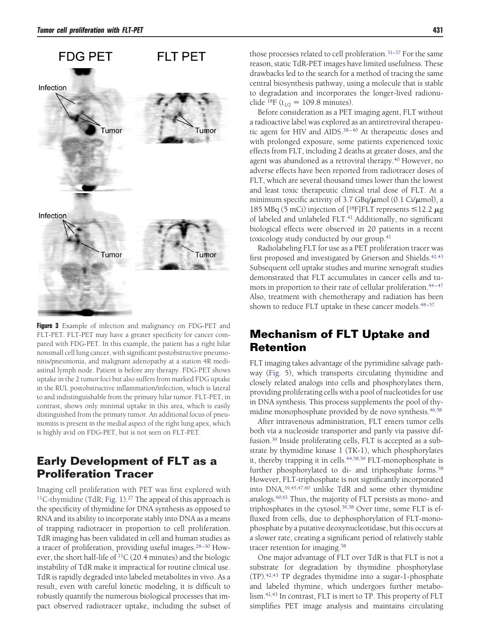umor

Tumor

**FLT PET** 

umor

umor

<span id="page-2-0"></span>**FDG PET** 

Infection

Infection

clide <sup>18</sup>F ( $t_{1/2}$  = 109.8 minutes). Before consideration as a PET imaging agent, FLT without a radioactive label was explored as an antiretroviral therapeutic agent for HIV and AIDS.<sup>38-40</sup> At therapeutic doses and with prolonged exposure, some patients experienced toxic effects from FLT, including 2 deaths at greater doses, and the agent was abandoned as a retroviral therapy.<sup>40</sup> However, no adverse effects have been reported from radiotracer doses of FLT, which are several thousand times lower than the lowest and least toxic therapeutic clinical trial dose of FLT. At a minimum specific activity of 3.7 GBq/ $\mu$ mol (0.1 Ci/ $\mu$ mol), a 185 MBq (5 mCi) injection of [<sup>18</sup>F]FLT represents  $\leq$  12.2  $\mu$ g of labeled and unlabeled FLT.<sup>41</sup> Additionally, no significant biological effects were observed in 20 patients in a recent toxicology study conducted by our group.<sup>41</sup>

Radiolabeling FLT for use as a PET proliferation tracer was first proposed and investigated by Grierson and Shields.<sup>42,43</sup> Subsequent cell uptake studies and murine xenograft studies demonstrated that FLT accumulates in cancer cells and tumors in proportion to their rate of cellular proliferation.<sup>44-47</sup> Also, treatment with chemotherapy and radiation has been shown to reduce FLT uptake in these cancer models.<sup>48-57</sup>

# **Mechanism of FLT Uptake and Retention**

FLT imaging takes advantage of the pyrimidine salvage pathway [\(Fig. 5\)](#page-4-0), which transports circulating thymidine and closely related analogs into cells and phosphorylates them, providing proliferating cells with a pool of nucleotides for use in DNA synthesis. This process supplements the pool of thymidine monophosphate provided by de novo synthesis[.46,58](#page-9-0)

After intravenous administration, FLT enters tumor cells both via a nucleoside transporter and partly via passive diffusion[.39](#page-9-0) Inside proliferating cells, FLT is accepted as a substrate by thymidine kinase 1 (TK-1), which phosphorylates it, thereby trapping it in cells.<sup>44,58,59</sup> FLT-monophosphate is further phosphorylated to di- and triphosphate forms.<sup>58</sup> However, FLT-triphosphate is not significantly incorporated into DNA[,39,45,47,60](#page-9-0) unlike TdR and some other thymidine analogs[.60,61](#page-10-0) Thus, the majority of FLT persists as mono- and triphosphates in the cytosol[.39,58](#page-9-0) Over time, some FLT is effluxed from cells, due to dephosphorylation of FLT-monophosphate by a putative deoxynucleotidase, but this occurs at a slower rate, creating a significant period of relatively stable tracer retention for imaging[.58](#page-9-0)

One major advantage of FLT over TdR is that FLT is not a substrate for degradation by thymidine phosphorylase (TP)[.42,43](#page-9-0) TP degrades thymidine into a sugar-1-phosphate and labeled thymine, which undergoes further metabolism[.42,43](#page-9-0) In contrast, FLT is inert to TP. This property of FLT simplifies PET image analysis and maintains circulating



# **Early Development of FLT as a Proliferation Tracer**

Imaging cell proliferation with PET was first explored with  $11C$ -thymidine (TdR; [Fig. 1\)](#page-1-0).<sup>27</sup> The appeal of this approach is the specificity of thymidine for DNA synthesis as opposed to RNA and its ability to incorporate stably into DNA as a means of trapping radiotracer in proportion to cell proliferation. TdR imaging has been validated in cell and human studies as a tracer of proliferation, providing useful images.<sup>28-30</sup> However, the short half-life of  ${}^{11}C$  (20.4 minutes) and the biologic instability of TdR make it impractical for routine clinical use. TdR is rapidly degraded into labeled metabolites in vivo. As a result, even with careful kinetic modeling, it is difficult to robustly quantify the numerous biological processes that impact observed radiotracer uptake, including the subset of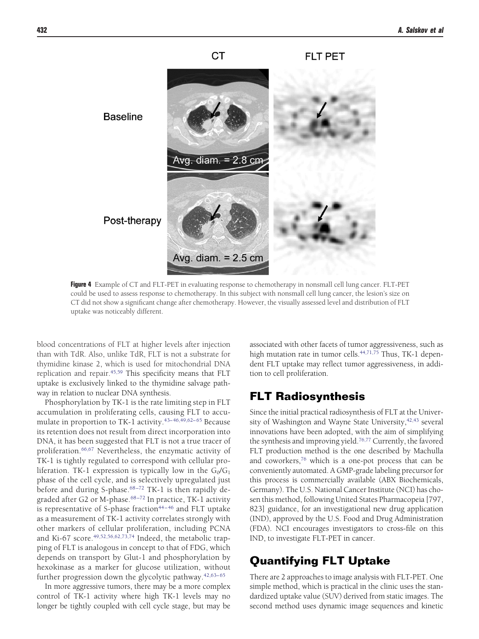<span id="page-3-0"></span>

**Figure 4** Example of CT and FLT-PET in evaluating response to chemotherapy in nonsmall cell lung cancer. FLT-PET could be used to assess response to chemotherapy. In this subject with nonsmall cell lung cancer, the lesion's size on CT did not show a significant change after chemotherapy. However, the visually assessed level and distribution of FLT uptake was noticeably different.

blood concentrations of FLT at higher levels after injection than with TdR. Also, unlike TdR, FLT is not a substrate for thymidine kinase 2, which is used for mitochondrial DNA replication and repair.<sup>45,59</sup> This specificity means that FLT uptake is exclusively linked to the thymidine salvage pathway in relation to nuclear DNA synthesis.

Phosphorylation by TK-1 is the rate limiting step in FLT accumulation in proliferating cells, causing FLT to accumulate in proportion to TK-1 activity.<sup>43-46,49,62-65</sup> Because its retention does not result from direct incorporation into DNA, it has been suggested that FLT is not a true tracer of proliferation[.66,67](#page-10-0) Nevertheless, the enzymatic activity of TK-1 is tightly regulated to correspond with cellular proliferation. TK-1 expression is typically low in the  $G_0/G_1$ phase of the cell cycle, and is selectively upregulated just before and during S-phase.<sup>68-72</sup> TK-1 is then rapidly degraded after G2 or M-phase. $68-72$  In practice, TK-1 activity is representative of S-phase fraction<sup>44-46</sup> and FLT uptake as a measurement of TK-1 activity correlates strongly with other markers of cellular proliferation, including PCNA and Ki-67 score.<sup>49,52,56,62,73,74</sup> Indeed, the metabolic trapping of FLT is analogous in concept to that of FDG, which depends on transport by Glut-1 and phosphorylation by hexokinase as a marker for glucose utilization, without further progression down the glycolytic pathway.<sup>42,63-65</sup>

In more aggressive tumors, there may be a more complex control of TK-1 activity where high TK-1 levels may no longer be tightly coupled with cell cycle stage, but may be

associated with other facets of tumor aggressiveness, such as high mutation rate in tumor cells. $44,71,75$  Thus, TK-1 dependent FLT uptake may reflect tumor aggressiveness, in addition to cell proliferation.

# **FLT Radiosynthesis**

Since the initial practical radiosynthesis of FLT at the University of Washington and Wayne State University,<sup>42,43</sup> several innovations have been adopted, with the aim of simplifying the synthesis and improving yield.<sup>76,77</sup> Currently, the favored FLT production method is the one described by Machulla and coworkers, $76$  which is a one-pot process that can be conveniently automated. A GMP-grade labeling precursor for this process is commercially available (ABX Biochemicals, Germany). The U.S. National Cancer Institute (NCI) has chosen this method, following United States Pharmacopeia [797, 823] guidance, for an investigational new drug application (IND), approved by the U.S. Food and Drug Administration (FDA). NCI encourages investigators to cross-file on this IND, to investigate FLT-PET in cancer.

# **Quantifying FLT Uptake**

There are 2 approaches to image analysis with FLT-PET. One simple method, which is practical in the clinic uses the standardized uptake value (SUV) derived from static images. The second method uses dynamic image sequences and kinetic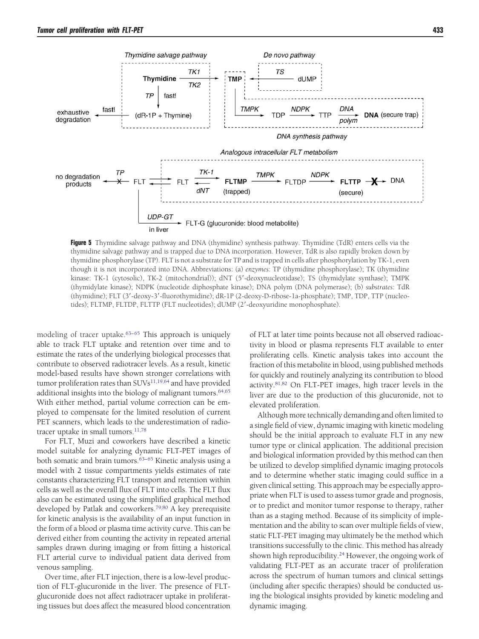<span id="page-4-0"></span>

**Figure 5** Thymidine salvage pathway and DNA (thymidine) synthesis pathway. Thymidine (TdR) enters cells via the thymidine salvage pathway and is trapped due to DNA incorporation. However, TdR is also rapidly broken down by thymidine phosphorylase (TP). FLT is not a substrate for TP and is trapped in cells after phosphorylation by TK-1, even though it is not incorporated into DNA. Abbreviations: (a) *enzymes*: TP (thymidine phosphorylase); TK (thymidine kinase: TK-1 (cytosolic), TK-2 (mitochondrial)); dNT (5'-deoxynucleotidase); TS (thymidylate synthase); TMPK (thymidylate kinase); NDPK (nucleotide diphosphate kinase); DNA polym (DNA polymerase); (b) *substrates*: TdR (thymidine); FLT (3'-deoxy-3'-fluorothymidine); dR-1P (2-deoxy-D-ribose-1a-phosphate); TMP, TDP, TTP (nucleotides); FLTMP, FLTDP, FLTTP (FLT nucleotides); dUMP (2'-deoxyuridine monophosphate).

modeling of tracer uptake. $63-65$  This approach is uniquely able to track FLT uptake and retention over time and to estimate the rates of the underlying biological processes that contribute to observed radiotracer levels. As a result, kinetic model-based results have shown stronger correlations with tumor proliferation rates than  $SUVs^{11,19,64}$  and have provided additional insights into the biology of malignant tumors.<sup>64,65</sup> With either method, partial volume correction can be employed to compensate for the limited resolution of current PET scanners, which leads to the underestimation of radiotracer uptake in small tumors.<sup>11,78</sup>

For FLT, Muzi and coworkers have described a kinetic model suitable for analyzing dynamic FLT-PET images of both somatic and brain tumors.<sup>63–65</sup> Kinetic analysis using a model with 2 tissue compartments yields estimates of rate constants characterizing FLT transport and retention within cells as well as the overall flux of FLT into cells. The FLT flux also can be estimated using the simplified graphical method developed by Patlak and coworkers.<sup>79,80</sup> A key prerequisite for kinetic analysis is the availability of an input function in the form of a blood or plasma time activity curve. This can be derived either from counting the activity in repeated arterial samples drawn during imaging or from fitting a historical FLT arterial curve to individual patient data derived from venous sampling.

Over time, after FLT injection, there is a low-level production of FLT-glucuronide in the liver. The presence of FLTglucuronide does not affect radiotracer uptake in proliferating tissues but does affect the measured blood concentration of FLT at later time points because not all observed radioactivity in blood or plasma represents FLT available to enter proliferating cells. Kinetic analysis takes into account the fraction of this metabolite in blood, using published methods for quickly and routinely analyzing its contribution to blood activity[.81,82](#page-10-0) On FLT-PET images, high tracer levels in the liver are due to the production of this glucuronide, not to elevated proliferation.

Although more technically demanding and often limited to a single field of view, dynamic imaging with kinetic modeling should be the initial approach to evaluate FLT in any new tumor type or clinical application. The additional precision and biological information provided by this method can then be utilized to develop simplified dynamic imaging protocols and to determine whether static imaging could suffice in a given clinical setting. This approach may be especially appropriate when FLT is used to assess tumor grade and prognosis, or to predict and monitor tumor response to therapy, rather than as a staging method. Because of its simplicity of implementation and the ability to scan over multiple fields of view, static FLT-PET imaging may ultimately be the method which transitions successfully to the clinic. This method has already shown high reproducibility[.24](#page-9-0) However, the ongoing work of validating FLT-PET as an accurate tracer of proliferation across the spectrum of human tumors and clinical settings (including after specific therapies) should be conducted using the biological insights provided by kinetic modeling and dynamic imaging.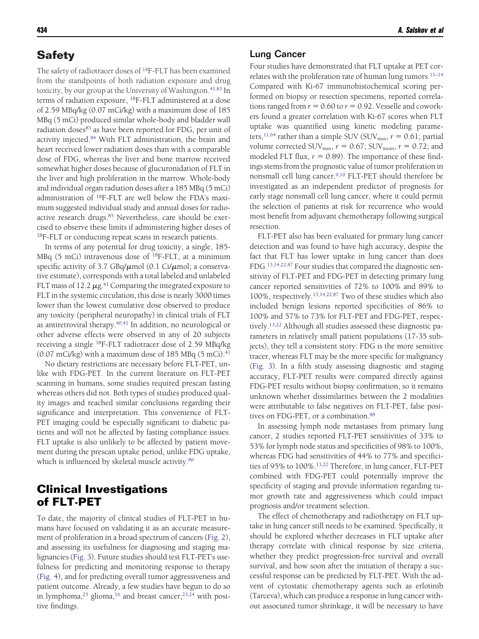### **Safety**

The safety of radiotracer doses of <sup>18</sup>F-FLT has been examined from the standpoints of both radiation exposure and drug toxicity, by our group at the University of Washington.<sup>41,83</sup> In terms of radiation exposure, 18F-FLT administered at a dose of 2.59 MBq/kg (0.07 mCi/kg) with a maximum dose of 185 MBq (5 mCi) produced similar whole-body and bladder wall radiation doses<sup>83</sup> as have been reported for FDG, per unit of activity injected.<sup>84</sup> With FLT administration, the brain and heart received lower radiation doses than with a comparable dose of FDG, whereas the liver and bone marrow received somewhat higher doses because of glucuronidation of FLT in the liver and high proliferation in the marrow. Whole-body and individual organ radiation doses after a 185 MBq (5 mCi) administration of 18F-FLT are well below the FDA's maximum suggested individual study and annual doses for radioactive research drugs.<sup>85</sup> Nevertheless, care should be exercised to observe these limits if administering higher doses of <sup>18</sup>F-FLT or conducting repeat scans in research patients.

In terms of any potential for drug toxicity, a single, 185- MBq (5 mCi) intravenous dose of 18F-FLT, at a minimum specific activity of 3.7 GBq/ $\mu$ mol (0.1 Ci/ $\mu$ mol; a conservative estimate), corresponds with a total labeled and unlabeled FLT mass of 12.2  $\mu$ g.<sup>41</sup> Comparing the integrated exposure to FLT in the systemic circulation, this dose is nearly 3000 times lower than the lowest cumulative dose observed to produce any toxicity (peripheral neuropathy) in clinical trials of FLT as antiretroviral therapy.<sup>40,41</sup> In addition, no neurological or other adverse effects were observed in any of 20 subjects receiving a single 18F-FLT radiotracer dose of 2.59 MBq/kg (0.07 mCi/kg) with a maximum dose of 185 MBq  $(5 \text{ mCi})$ .<sup>41</sup>

No dietary restrictions are necessary before FLT-PET, unlike with FDG-PET. In the current literature on FLT-PET scanning in humans, some studies required prescan fasting whereas others did not. Both types of studies produced quality images and reached similar conclusions regarding their significance and interpretation. This convenience of FLT-PET imaging could be especially significant to diabetic patients and will not be affected by fasting compliance issues. FLT uptake is also unlikely to be affected by patient movement during the prescan uptake period, unlike FDG uptake, which is influenced by skeletal muscle activity[.86](#page-10-0)

# **Clinical Investigations of FLT-PET**

To date, the majority of clinical studies of FLT-PET in humans have focused on validating it as an accurate measurement of proliferation in a broad spectrum of cancers [\(Fig. 2\)](#page-1-0), and assessing its usefulness for diagnosing and staging malignancies [\(Fig. 3\)](#page-2-0). Future studies should test FLT-PET's usefulness for predicting and monitoring response to therapy [\(Fig. 4\)](#page-3-0), and for predicting overall tumor aggressiveness and patient outcome. Already, a few studies have begun to do so in lymphoma,<sup>25</sup> glioma,<sup>16</sup> and breast cancer,<sup>23,24</sup> with positive findings.

#### Lung Cancer

Four studies have demonstrated that FLT uptake at PET correlates with the proliferation rate of human lung tumors[.11–14](#page-8-0) Compared with Ki-67 immunohistochemical scoring performed on biopsy or resection specimens, reported correlations ranged from  $r = 0.60$  to  $r = 0.92$ . Vesselle and coworkers found a greater correlation with Ki-67 scores when FLT uptake was quantified using kinetic modeling parameters,<sup>11,64</sup> rather than a simple SUV (SUV<sub>max</sub>,  $r = 0.61$ ; partial volume corrected SUV<sub>max</sub>,  $r = 0.67$ ; SUV<sub>mean</sub>,  $r = 0.72$ ; and modeled FLT flux,  $r = 0.89$ ). The importance of these findings stems from the prognostic value of tumor proliferation in nonsmall cell lung cancer[.9,10](#page-8-0) FLT-PET should therefore be investigated as an independent predictor of prognosis for early stage nonsmall cell lung cancer, where it could permit the selection of patients at risk for recurrence who would most benefit from adjuvant chemotherapy following surgical resection.

FLT-PET also has been evaluated for primary lung cancer detection and was found to have high accuracy, despite the fact that FLT has lower uptake in lung cancer than does FDG[.13,14,22,87](#page-8-0) Four studies that compared the diagnostic sensitivity of FLT-PET and FDG-PET in detecting primary lung cancer reported sensitivities of 72% to 100% and 89% to 100%, respectively[.13,14,22,87](#page-8-0) Two of these studies which also included benign lesions reported specificities of 86% to 100% and 57% to 73% for FLT-PET and FDG-PET, respectively[.13,22](#page-8-0) Although all studies assessed these diagnostic parameters in relatively small patient populations (17-35 subjects), they tell a consistent story: FDG is the more sensitive tracer, whereas FLT may be the more specific for malignancy [\(Fig. 3\)](#page-2-0). In a fifth study assessing diagnostic and staging accuracy, FLT-PET results were compared directly against FDG-PET results without biopsy confirmation, so it remains unknown whether dissimilarities between the 2 modalities were attributable to false negatives on FLT-PET, false positives on FDG-PET, or a combination.<sup>88</sup>

In assessing lymph node metastases from primary lung cancer, 2 studies reported FLT-PET sensitivities of 33% to 53% for lymph node status and specificities of 98% to 100%, whereas FDG had sensitivities of 44% to 77% and specificities of 95% to 100%[.13,22](#page-8-0) Therefore, in lung cancer, FLT-PET combined with FDG-PET could potentially improve the specificity of staging and provide information regarding tumor growth rate and aggressiveness which could impact prognosis and/or treatment selection.

The effect of chemotherapy and radiotherapy on FLT uptake in lung cancer still needs to be examined. Specifically, it should be explored whether decreases in FLT uptake after therapy correlate with clinical response by size criteria, whether they predict progression-free survival and overall survival, and how soon after the initiation of therapy a successful response can be predicted by FLT-PET. With the advent of cytostatic chemotherapy agents such as erlotinib (Tarceva), which can produce a response in lung cancer without associated tumor shrinkage, it will be necessary to have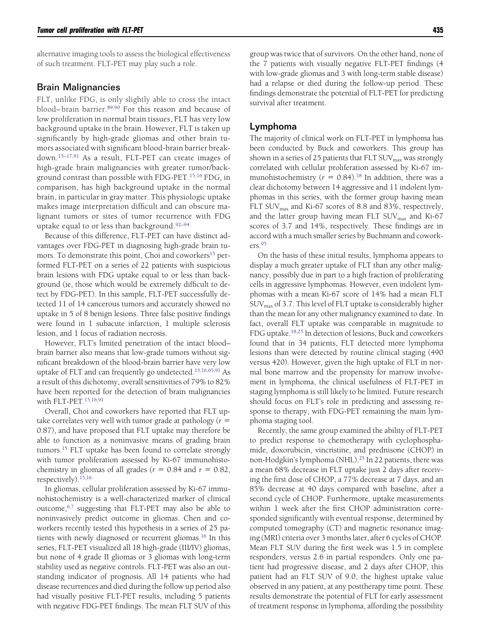alternative imaging tools to assess the biological effectiveness of such treatment. FLT-PET may play such a role.

#### Brain Malignancies

FLT, unlike FDG, is only slightly able to cross the intact blood–brain barrier.<sup>89,90</sup> For this reason and because of low proliferation in normal brain tissues, FLT has very low background uptake in the brain. However, FLT is taken up significantly by high-grade gliomas and other brain tumors associated with significant blood-brain barrier breakdown[.15–17,91](#page-8-0) As a result, FLT-PET can create images of high-grade brain malignancies with greater tumor/background contrast than possible with FDG-PET[.15,16](#page-8-0) FDG, in comparison, has high background uptake in the normal brain, in particular in gray matter. This physiologic uptake makes image interpretation difficult and can obscure malignant tumors or sites of tumor recurrence with FDG uptake equal to or less than background.<sup>92-94</sup>

Because of this difference, FLT-PET can have distinct advantages over FDG-PET in diagnosing high-grade brain tumors. To demonstrate this point, Choi and coworkers<sup>15</sup> performed FLT-PET on a series of 22 patients with suspicious brain lesions with FDG uptake equal to or less than background (ie, those which would be extremely difficult to detect by FDG-PET). In this sample, FLT-PET successfully detected 11 of 14 cancerous tumors and accurately showed no uptake in 5 of 8 benign lesions. Three false positive findings were found in 1 subacute infarction, 1 multiple sclerosis lesion, and 1 focus of radiation necrosis.

However, FLT's limited penetration of the intact blood– brain barrier also means that low-grade tumors without significant breakdown of the blood-brain barrier have very low uptake of FLT and can frequently go undetected[.15,16,65,91](#page-8-0) As a result of this dichotomy, overall sensitivities of 79% to 82% have been reported for the detection of brain malignancies with FLT-PET[.15,16,91](#page-8-0)

Overall, Choi and coworkers have reported that FLT uptake correlates very well with tumor grade at pathology (*r* 0.87), and have proposed that FLT uptake may therefore be able to function as a noninvasive means of grading brain tumors[.15](#page-8-0) FLT uptake has been found to correlate strongly with tumor proliferation assessed by Ki-67 immunohistochemistry in gliomas of all grades ( $r = 0.84$  and  $r = 0.82$ , respectively)[.15,16](#page-8-0)

In gliomas, cellular proliferation assessed by Ki-67 immunohistochemistry is a well-characterized marker of clinical outcome[,6,7](#page-8-0) suggesting that FLT-PET may also be able to noninvasively predict outcome in gliomas. Chen and coworkers recently tested this hypothesis in a series of 25 patients with newly diagnosed or recurrent gliomas.<sup>16</sup> In this series, FLT-PET visualized all 18 high-grade (III/IV) gliomas, but none of 4 grade II gliomas or 3 gliomas with long-term stability used as negative controls. FLT-PET was also an outstanding indicator of prognosis. All 14 patients who had disease recurrences and died during the follow up period also had visually positive FLT-PET results, including 5 patients with negative FDG-PET findings. The mean FLT SUV of this group was twice that of survivors. On the other hand, none of the 7 patients with visually negative FLT-PET findings (4 with low-grade gliomas and 3 with long-term stable disease) had a relapse or died during the follow-up period. These findings demonstrate the potential of FLT-PET for predicting survival after treatment.

#### Lymphoma

The majority of clinical work on FLT-PET in lymphoma has been conducted by Buck and coworkers. This group has shown in a series of 25 patients that FLT  $\text{SUV}_{\text{max}}$  was strongly correlated with cellular proliferation assessed by Ki-67 immunohistochemistry ( $r = 0.84$ ).<sup>18</sup> In addition, there was a clear dichotomy between 14 aggressive and 11 indolent lymphomas in this series, with the former group having mean FLT SUV<sub>max</sub> and Ki-67 scores of 8.8 and 83%, respectively, and the latter group having mean FLT  $\text{SUV}_{\text{max}}$  and Ki-67 scores of 3.7 and 14%, respectively. These findings are in accord with a much smaller series by Buchmann and coworkers[.95](#page-10-0)

On the basis of these initial results, lymphoma appears to display a much greater uptake of FLT than any other malignancy, possibly due in part to a high fraction of proliferating cells in aggressive lymphomas. However, even indolent lymphomas with a mean Ki-67 score of 14% had a mean FLT  $\text{SUV}_{\text{max}}$  of 3.7. This level of FLT uptake is considerably higher than the mean for any other malignancy examined to date. In fact, overall FLT uptake was comparable in magnitude to FDG uptake[.18,25](#page-9-0) In detection of lesions, Buck and coworkers found that in 34 patients, FLT detected more lymphoma lesions than were detected by routine clinical staging (490 versus 420). However, given the high uptake of FLT in normal bone marrow and the propensity for marrow involvement in lymphoma, the clinical usefulness of FLT-PET in staging lymphoma is still likely to be limited. Future research should focus on FLT's role in predicting and assessing response to therapy, with FDG-PET remaining the main lymphoma staging tool.

Recently, the same group examined the ability of FLT-PET to predict response to chemotherapy with cyclophosphamide, doxorubicin, vincristine, and prednisone (CHOP) in non-Hodgkin's lymphoma (NHL)[.25](#page-9-0) In 22 patients, there was a mean 68% decrease in FLT uptake just 2 days after receiving the first dose of CHOP, a 77% decrease at 7 days, and an 85% decrease at 40 days compared with baseline, after a second cycle of CHOP. Furthermore, uptake measurements within 1 week after the first CHOP administration corresponded significantly with eventual response, determined by computed tomography (CT) and magnetic resonance imaging (MRI) criteria over 3 months later, after 6 cycles of CHOP. Mean FLT SUV during the first week was 1.5 in complete responders, versus 2.6 in partial responders. Only one patient had progressive disease, and 2 days after CHOP, this patient had an FLT SUV of 9.0, the highest uptake value observed in any patient, at any posttherapy time point. These results demonstrate the potential of FLT for early assessment of treatment response in lymphoma, affording the possibility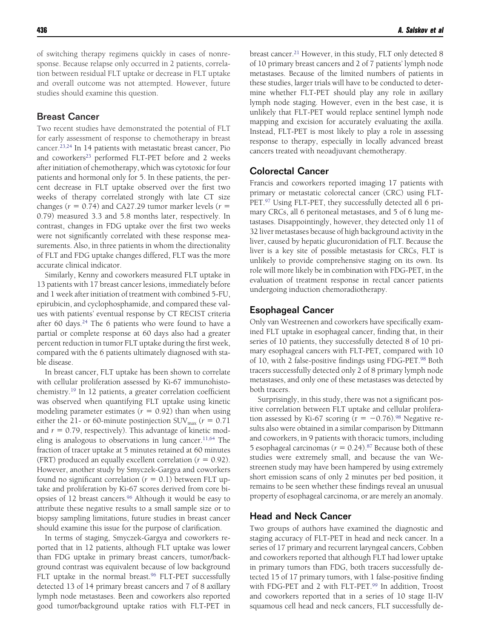of switching therapy regimens quickly in cases of nonresponse. Because relapse only occurred in 2 patients, correlation between residual FLT uptake or decrease in FLT uptake and overall outcome was not attempted. However, future studies should examine this question.

#### Breast Cancer

Two recent studies have demonstrated the potential of FLT for early assessment of response to chemotherapy in breast cancer.<sup>23,24</sup> In 14 patients with metastatic breast cancer, Pio and coworkers<sup>23</sup> performed FLT-PET before and 2 weeks after initiation of chemotherapy, which was cytotoxic for four patients and hormonal only for 5. In these patients, the percent decrease in FLT uptake observed over the first two weeks of therapy correlated strongly with late CT size changes ( $r = 0.74$ ) and CA27.29 tumor marker levels ( $r =$ 0.79) measured 3.3 and 5.8 months later, respectively. In contrast, changes in FDG uptake over the first two weeks were not significantly correlated with these response measurements. Also, in three patients in whom the directionality of FLT and FDG uptake changes differed, FLT was the more accurate clinical indicator.

Similarly, Kenny and coworkers measured FLT uptake in 13 patients with 17 breast cancer lesions, immediately before and 1 week after initiation of treatment with combined 5-FU, epirubicin, and cyclophosphamide, and compared these values with patients' eventual response by CT RECIST criteria after 60 days. $24$  The 6 patients who were found to have a partial or complete response at 60 days also had a greater percent reduction in tumor FLT uptake during the first week, compared with the 6 patients ultimately diagnosed with stable disease.

In breast cancer, FLT uptake has been shown to correlate with cellular proliferation assessed by Ki-67 immunohistochemistry[.19](#page-9-0) In 12 patients, a greater correlation coefficient was observed when quantifying FLT uptake using kinetic modeling parameter estimates ( $r = 0.92$ ) than when using either the 21- or 60-minute postinjection  $\text{SUV}_{\text{max}}$  ( $r = 0.71$ ) and  $r = 0.79$ , respectively). This advantage of kinetic modeling is analogous to observations in lung cancer.<sup>11,64</sup> The fraction of tracer uptake at 5 minutes retained at 60 minutes (FRT) produced an equally excellent correlation ( $r = 0.92$ ). However, another study by Smyczek-Gargya and coworkers found no significant correlation  $(r = 0.1)$  between FLT uptake and proliferation by Ki-67 scores derived from core biopsies of 12 breast cancers.<sup>96</sup> Although it would be easy to attribute these negative results to a small sample size or to biopsy sampling limitations, future studies in breast cancer should examine this issue for the purpose of clarification.

In terms of staging, Smyczek-Gargya and coworkers reported that in 12 patients, although FLT uptake was lower than FDG uptake in primary breast cancers, tumor/background contrast was equivalent because of low background FLT uptake in the normal breast.<sup>96</sup> FLT-PET successfully detected 13 of 14 primary breast cancers and 7 of 8 axillary lymph node metastases. Been and coworkers also reported good tumor/background uptake ratios with FLT-PET in breast cancer.<sup>21</sup> However, in this study, FLT only detected 8 of 10 primary breast cancers and 2 of 7 patients' lymph node metastases. Because of the limited numbers of patients in these studies, larger trials will have to be conducted to determine whether FLT-PET should play any role in axillary lymph node staging. However, even in the best case, it is unlikely that FLT-PET would replace sentinel lymph node mapping and excision for accurately evaluating the axilla. Instead, FLT-PET is most likely to play a role in assessing response to therapy, especially in locally advanced breast cancers treated with neoadjuvant chemotherapy.

#### Colorectal Cancer

Francis and coworkers reported imaging 17 patients with primary or metastatic colorectal cancer (CRC) using FLT-PET.<sup>97</sup> Using FLT-PET, they successfully detected all 6 primary CRCs, all 6 peritoneal metastases, and 5 of 6 lung metastases. Disappointingly, however, they detected only 11 of 32 liver metastases because of high background activity in the liver, caused by hepatic glucuronidation of FLT. Because the liver is a key site of possible metastasis for CRCs, FLT is unlikely to provide comprehensive staging on its own. Its role will more likely be in combination with FDG-PET, in the evaluation of treatment response in rectal cancer patients undergoing induction chemoradiotherapy.

#### Esophageal Cancer

Only van Westreenen and coworkers have specifically examined FLT uptake in esophageal cancer, finding that, in their series of 10 patients, they successfully detected 8 of 10 primary esophageal cancers with FLT-PET, compared with 10 of 10, with 2 false-positive findings using FDG-PET[.98](#page-10-0) Both tracers successfully detected only 2 of 8 primary lymph node metastases, and only one of these metastases was detected by both tracers.

Surprisingly, in this study, there was not a significant positive correlation between FLT uptake and cellular proliferation assessed by Ki-67 scoring ( $r = -0.76$ ).<sup>98</sup> Negative results also were obtained in a similar comparison by Dittmann and coworkers, in 9 patients with thoracic tumors, including 5 esophageal carcinomas ( $r = 0.24$ ).<sup>87</sup> Because both of these studies were extremely small, and because the van Westreenen study may have been hampered by using extremely short emission scans of only 2 minutes per bed position, it remains to be seen whether these findings reveal an unusual property of esophageal carcinoma, or are merely an anomaly.

#### Head and Neck Cancer

Two groups of authors have examined the diagnostic and staging accuracy of FLT-PET in head and neck cancer. In a series of 17 primary and recurrent laryngeal cancers, Cobben and coworkers reported that although FLT had lower uptake in primary tumors than FDG, both tracers successfully detected 15 of 17 primary tumors, with 1 false-positive finding with FDG-PET and 2 with FLT-PET[.99](#page-10-0) In addition, Troost and coworkers reported that in a series of 10 stage II-IV squamous cell head and neck cancers, FLT successfully de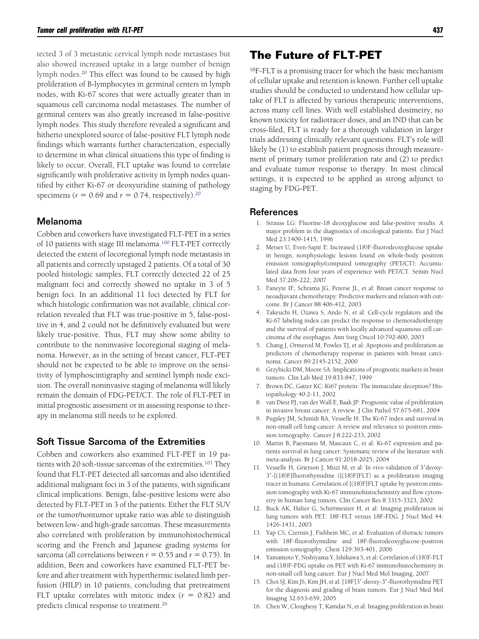<span id="page-8-0"></span>tected 3 of 3 metastatic cervical lymph node metastases but also showed increased uptake in a large number of benign lymph nodes.<sup>20</sup> This effect was found to be caused by high proliferation of B-lymphocytes in germinal centers in lymph nodes, with Ki-67 scores that were actually greater than in squamous cell carcinoma nodal metastases. The number of germinal centers was also greatly increased in false-positive lymph nodes. This study therefore revealed a significant and hitherto unexplored source of false-positive FLT lymph node findings which warrants further characterization, especially to determine in what clinical situations this type of finding is likely to occur. Overall, FLT uptake was found to correlate significantly with proliferative activity in lymph nodes quantified by either Ki-67 or deoxyuridine staining of pathology specimens ( $r = 0.69$  and  $r = 0.74$ , respectively).<sup>20</sup>

#### Melanoma

Cobben and coworkers have investigated FLT-PET in a series of 10 patients with stage III melanoma.<sup>100</sup> FLT-PET correctly detected the extent of locoregional lymph node metastasis in all patients and correctly upstaged 2 patients. Of a total of 30 pooled histologic samples, FLT correctly detected 22 of 25 malignant foci and correctly showed no uptake in 3 of 5 benign foci. In an additional 11 foci detected by FLT for which histologic confirmation was not available, clinical correlation revealed that FLT was true-positive in 5, false-positive in 4, and 2 could not be definitively evaluated but were likely true-positive. Thus, FLT may show some ability to contribute to the noninvasive locoregional staging of melanoma. However, as in the setting of breast cancer, FLT-PET should not be expected to be able to improve on the sensitivity of lymphoscintigraphy and sentinel lymph node excision. The overall noninvasive staging of melanoma will likely remain the domain of FDG-PET/CT. The role of FLT-PET in initial prognostic assessment or in assessing response to therapy in melanoma still needs to be explored.

#### Soft Tissue Sarcoma of the Extremities

Cobben and coworkers also examined FLT-PET in 19 patients with 20 soft-tissue sarcomas of the extremities.<sup>101</sup> They found that FLT-PET detected all sarcomas and also identified additional malignant foci in 3 of the patients, with significant clinical implications. Benign, false-positive lesions were also detected by FLT-PET in 3 of the patients. Either the FLT SUV or the tumor/nontumor uptake ratio was able to distinguish between low- and high-grade sarcomas. These measurements also correlated with proliferation by immunohistochemical scoring and the French and Japanese grading systems for sarcoma (all correlations between  $r = 0.55$  and  $r = 0.75$ ). In addition, Been and coworkers have examined FLT-PET before and after treatment with hyperthermic isolated limb perfusion (HILP) in 10 patients, concluding that pretreatment FLT uptake correlates with mitotic index  $(r = 0.82)$  and predicts clinical response to treatment[.26](#page-9-0)

### **The Future of FLT-PET**

<sup>18</sup>F-FLT is a promising tracer for which the basic mechanism of cellular uptake and retention is known. Further cell uptake studies should be conducted to understand how cellular uptake of FLT is affected by various therapeutic interventions, across many cell lines. With well established dosimetry, no known toxicity for radiotracer doses, and an IND that can be cross-filed, FLT is ready for a thorough validation in larger trials addressing clinically relevant questions. FLT's role will likely be (1) to establish patient prognosis through measurement of primary tumor proliferation rate and (2) to predict and evaluate tumor response to therapy. In most clinical settings, it is expected to be applied as strong adjunct to staging by FDG-PET.

#### **References**

- 1. Strauss LG: Fluorine-18 deoxyglucose and false-positive results: A major problem in the diagnostics of oncological patients. Eur J Nucl Med 23:1409-1415, 1996
- 2. Metser U, Even-Sapir E: Increased (18)F-fluorodeoxyglucose uptake in benign, nonphysiologic lesions found on whole-body positron emission tomography/computed tomography (PET/CT): Accumulated data from four years of experience with PET/CT. Semin Nucl Med 37:206-222, 2007
- 3. Faneyte IF, Schrama JG, Peterse JL, et al: Breast cancer response to neoadjuvant chemotherapy: Predictive markers and relation with outcome. Br J Cancer 88:406-412, 2003
- 4. Takeuchi H, Ozawa S, Ando N, et al: Cell-cycle regulators and the Ki-67 labeling index can predict the response to chemoradiotherapy and the survival of patients with locally advanced squamous cell carcinoma of the esophagus. Ann Surg Oncol 10:792-800, 2003
- 5. Chang J, Ormerod M, Powles TJ, et al: Apoptosis and proliferation as predictors of chemotherapy response in patients with breast carcinoma. Cancer 89:2145-2152, 2000
- 6. Grzybicki DM, Moore SA: Implications of prognostic markers in brain tumors. Clin Lab Med 19:833-847, 1999
- 7. Brown DC, Gatter KC: Ki67 protein: The immaculate deception? Histopathology 40:2-11, 2002
- 8. van Diest PJ, van der Wall E, Baak JP: Prognostic value of proliferation in invasive breast cancer: A review. J Clin Pathol 57:675-681, 2004
- 9. Pugsley JM, Schmidt RA, Vesselle H: The Ki-67 index and survival in non-small cell lung cancer: A review and relevance to positron emission tomography. Cancer J 8:222-233, 2002
- 10. Martin B, Paesmans M, Mascaux C, et al: Ki-67 expression and patients survival in lung cancer: Systematic review of the literature with meta-analysis. Br J Cancer 91:2018-2025, 2004
- 11. Vesselle H, Grierson J, Muzi M, et al: In vivo validation of 3'deoxy-3=-[(18)F]fluorothymidine ([(18)F]FLT) as a proliferation imaging tracer in humans: Correlation of [(18)F]FLT uptake by positron emission tomography with Ki-67 immunohistochemistry and flow cytometry in human lung tumors. Clin Cancer Res 8:3315-3323, 2002
- 12. Buck AK, Halter G, Schirrmeister H, et al: Imaging proliferation in lung tumors with PET: 18F-FLT versus 18F-FDG. J Nucl Med 44: 1426-1431, 2003
- 13. Yap CS, Czernin J, Fishbein MC, et al: Evaluation of thoracic tumors with 18F-fluorothymidine and 18F-fluorodeoxyglucose-positron emission tomography. Chest 129:393-401, 2006
- 14. Yamamoto Y, Nishiyama Y, Ishikawa S, et al: Correlation of (18)F-FLT and (18)F-FDG uptake on PET with Ki-67 immunohistochemistry in non-small cell lung cancer. Eur J Nucl Med Mol Imaging, 2007
- 15. Choi SJ, Kim JS, Kim JH, et al: [18F]3'-deoxy-3'-fluorothymidine PET for the diagnosis and grading of brain tumors. Eur J Nucl Med Mol Imaging 32:653-659, 2005
- 16. Chen W, Cloughesy T, Kamdar N, et al: Imaging proliferation in brain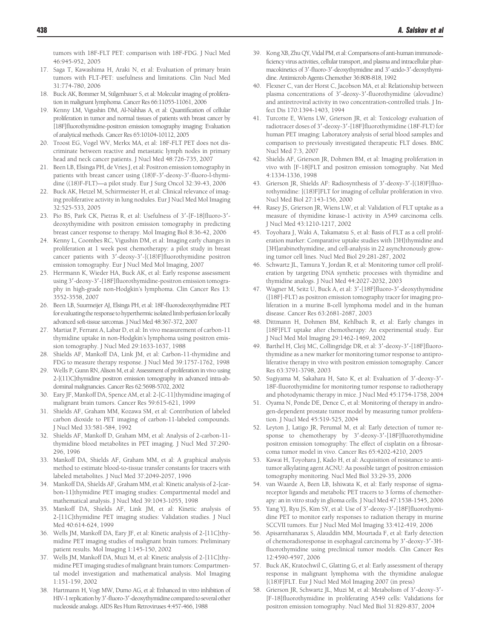<span id="page-9-0"></span>tumors with 18F-FLT PET: comparison with 18F-FDG. J Nucl Med 46:945-952, 2005

- 17. Saga T, Kawashima H, Araki N, et al: Evaluation of primary brain tumors with FLT-PET: usefulness and limitations. Clin Nucl Med 31:774-780, 2006
- 18. Buck AK, Bommer M, Stilgenbauer S, et al: Molecular imaging of proliferation in malignant lymphoma. Cancer Res 66:11055-11061, 2006
- 19. Kenny LM, Vigushin DM, Al-Nahhas A, et al: Quantification of cellular proliferation in tumor and normal tissues of patients with breast cancer by [18F]fluorothymidine-positron emission tomography imaging: Evaluation of analytical methods. Cancer Res 65:10104-10112, 2005
- 20. Troost EG, Vogel WV, Merkx MA, et al: 18F-FLT PET does not discriminate between reactive and metastatic lymph nodes in primary head and neck cancer patients. J Nucl Med 48:726-735, 2007
- 21. Been LB, Elsinga PH, de Vries J, et al: Positron emission tomography in patients with breast cancer using (18)F-3'-deoxy-3'-fluoro-l-thymidine ((18)F-FLT)—a pilot study. Eur J Surg Oncol 32:39-43, 2006
- 22. Buck AK, Hetzel M, Schirrmeister H, et al: Clinical relevance of imaging proliferative activity in lung nodules. Eur J Nucl Med Mol Imaging 32:525-533, 2005
- 23. Pio BS, Park CK, Pietras R, et al: Usefulness of 3'-[F-18]fluoro-3'deoxythymidine with positron emission tomography in predicting breast cancer response to therapy. Mol Imaging Biol 8:36-42, 2006
- 24. Kenny L, Coombes RC, Vigushin DM, et al: Imaging early changes in proliferation at 1 week post chemotherapy: a pilot study in breast cancer patients with  $3'$ -deoxy-3'-[(18)F]fluorothymidine positron emission tomography. Eur J Nucl Med Mol Imaging, 2007
- 25. Herrmann K, Wieder HA, Buck AK, et al: Early response assessment using 3'-deoxy-3'-[18F]fluorothymidine-positron emission tomography in high-grade non-Hodgkin's lymphoma. Clin Cancer Res 13: 3552-3558, 2007
- 26. Been LB, Suurmeijer AJ, Elsinga PH, et al: 18F-fluorodeoxythymidine PET for evaluating the response to hyperthermic isolated limb perfusion for locally advanced soft-tissue sarcomas. J Nucl Med 48:367-372, 2007
- 27. Martiat P, Ferrant A, Labar D, et al: In vivo measurement of carbon-11 thymidine uptake in non-Hodgkin's lymphoma using positron emission tomography. J Nucl Med 29:1633-1637, 1988
- 28. Shields AF, Mankoff DA, Link JM, et al: Carbon-11-thymidine and FDG to measure therapy response. J Nucl Med 39:1757-1762, 1998
- 29. Wells P,Gunn RN, Alison M, et al: Assessment of proliferation in vivo using 2-[(11)C]thymidine positron emission tomography in advanced intra-abdominal malignancies. Cancer Res 62:5698-5702, 2002
- 30. Eary JF, Mankoff DA, Spence AM, et al: 2-[C-11]thymidine imaging of malignant brain tumors. Cancer Res 59:615-621, 1999
- 31. Shields AF, Graham MM, Kozawa SM, et al: Contribution of labeled carbon dioxide to PET imaging of carbon-11-labeled compounds. J Nucl Med 33:581-584, 1992
- 32. Shields AF, Mankoff D, Graham MM, et al: Analysis of 2-carbon-11 thymidine blood metabolites in PET imaging. J Nucl Med 37:290- 296, 1996
- 33. Mankoff DA, Shields AF, Graham MM, et al: A graphical analysis method to estimate blood-to-tissue transfer constants for tracers with labeled metabolites. J Nucl Med 37:2049-2057, 1996
- 34. Mankoff DA, Shields AF, Graham MM, et al: Kinetic analysis of 2-[carbon-11]thymidine PET imaging studies: Compartmental model and mathematical analysis. J Nucl Med 39:1043-1055, 1998
- 35. Mankoff DA, Shields AF, Link JM, et al: Kinetic analysis of 2-[11C]thymidine PET imaging studies: Validation studies. J Nucl Med 40:614-624, 1999
- 36. Wells JM, Mankoff DA, Eary JF, et al: Kinetic analysis of 2-[11C]thymidine PET imaging studies of malignant brain tumors: Preliminary patient results. Mol Imaging 1:145-150, 2002
- 37. Wells JM, Mankoff DA, Muzi M, et al: Kinetic analysis of 2-[11C]thymidine PET imaging studies of malignant brain tumors: Compartmental model investigation and mathematical analysis. Mol Imaging 1:151-159, 2002
- 38. Hartmann H, Vogt MW, Durno AG, et al: Enhanced in vitro inhibition of HIV-1 replication by 3'-fluoro-3'-deoxythymidine compared to several other nucleoside analogs. AIDS Res Hum Retroviruses 4:457-466, 1988
- 39. Kong XB, Zhu QY,Vidal PM, et al: Comparisons of anti-human immunodeficiency virus activities, cellular transport, and plasma and intracellular pharmacokinetics of 3'-fluoro-3'-deoxythymidine and 3'-azido-3'-deoxythymidine. Antimicrob Agents Chemother 36:808-818, 1992
- 40. Flexner C, van der Horst C, Jacobson MA, et al: Relationship between plasma concentrations of 3'-deoxy-3'-fluorothymidine (alovudine) and antiretroviral activity in two concentration-controlled trials. J Infect Dis 170:1394-1403, 1994
- 41. Turcotte E, Wiens LW, Grierson JR, et al: Toxicology evaluation of radiotracer doses of 3'-deoxy-3'-[18F]fluorothymidine (18F-FLT) for human PET imaging: Laboratory analysis of serial blood samples and comparison to previously investigated therapeutic FLT doses. BMC Nucl Med 7:3, 2007
- 42. Shields AF, Grierson JR, Dohmen BM, et al: Imaging proliferation in vivo with [F-18]FLT and positron emission tomography. Nat Med 4:1334-1336, 1998
- 43. Grierson JR, Shields AF: Radiosynthesis of 3'-deoxy-3'-[(18)F]fluorothymidine: [(18)F]FLT for imaging of cellular proliferation in vivo. Nucl Med Biol 27:143-156, 2000
- 44. Rasey JS, Grierson JR, Wiens LW, et al: Validation of FLT uptake as a measure of thymidine kinase-1 activity in A549 carcinoma cells. J Nucl Med 43:1210-1217, 2002
- 45. Toyohara J, Waki A, Takamatsu S, et al: Basis of FLT as a cell proliferation marker: Comparative uptake studies with [3H]thymidine and [3H]arabinothymidine, and cell-analysis in 22 asynchronously growing tumor cell lines. Nucl Med Biol 29:281-287, 2002
- 46. Schwartz JL, Tamura Y, Jordan R, et al: Monitoring tumor cell proliferation by targeting DNA synthetic processes with thymidine and thymidine analogs. J Nucl Med 44:2027-2032, 2003
- 47. Wagner M, Seitz U, Buck A, et al: 3'-[18F]fluoro-3'-deoxythymidine ([18F]-FLT) as positron emission tomography tracer for imaging proliferation in a murine B-cell lymphoma model and in the human disease. Cancer Res 63:2681-2687, 2003
- 48. Dittmann H, Dohmen BM, Kehlbach R, et al: Early changes in [18F]FLT uptake after chemotherapy: An experimental study. Eur J Nucl Med Mol Imaging 29:1462-1469, 2002
- 49. Barthel H, Cleij MC, Collingridge DR, et al: 3'-deoxy-3'-[18F]fluorothymidine as a new marker for monitoring tumor response to antiproliferative therapy in vivo with positron emission tomography. Cancer Res 63:3791-3798, 2003
- 50. Sugiyama M, Sakahara H, Sato K, et al: Evaluation of 3'-deoxy-3'-18F-fluorothymidine for monitoring tumor response to radiotherapy and photodynamic therapy in mice. J Nucl Med 45:1754-1758, 2004
- 51. Oyama N, Ponde DE, Dence C, et al: Monitoring of therapy in androgen-dependent prostate tumor model by measuring tumor proliferation. J Nucl Med 45:519-525, 2004
- 52. Leyton J, Latigo JR, Perumal M, et al: Early detection of tumor response to chemotherapy by 3'-deoxy-3'-[18F]fluorothymidine positron emission tomography: The effect of cisplatin on a fibrosarcoma tumor model in vivo. Cancer Res 65:4202-4210, 2005
- 53. Kawai H, Toyohara J, Kado H, et al: Acquisition of resistance to antitumor alkylating agent ACNU: Aa possible target of positron emission tomography monitoring. Nucl Med Biol 33:29-35, 2006
- 54. van Waarde A, Been LB, Ishiwata K, et al: Early response of sigmareceptor ligands and metabolic PET tracers to 3 forms of chemotherapy: an in vitro study in glioma cells. J Nucl Med 47:1538-1545, 2006
- 55. Yang YJ, Ryu JS, Kim SY, et al: Use of 3'-deoxy-3'-[18F]fluorothymidine PET to monitor early responses to radiation therapy in murine SCCVII tumors. Eur J Nucl Med Mol Imaging 33:412-419, 2006
- 56. Apisarnthanarax S, Alauddin MM, Mourtada F, et al: Early detection of chemoradioresponse in esophageal carcinoma by 3'-deoxy-3'-3Hfluorothymidine using preclinical tumor models. Clin Cancer Res 12:4590-4597, 2006
- 57. Buck AK, Kratochwil C, Glatting G, et al: Early assessment of therapy response in malignant lymphoma with the thymidine analogue [(18)F]FLT. Eur J Nucl Med Mol Imaging 2007 (in press)
- 58. Grierson JR, Schwartz JL, Muzi M, et al: Metabolism of 3'-deoxy-3'-[F-18]fluorothymidine in proliferating A549 cells: Validations for positron emission tomography. Nucl Med Biol 31:829-837, 2004